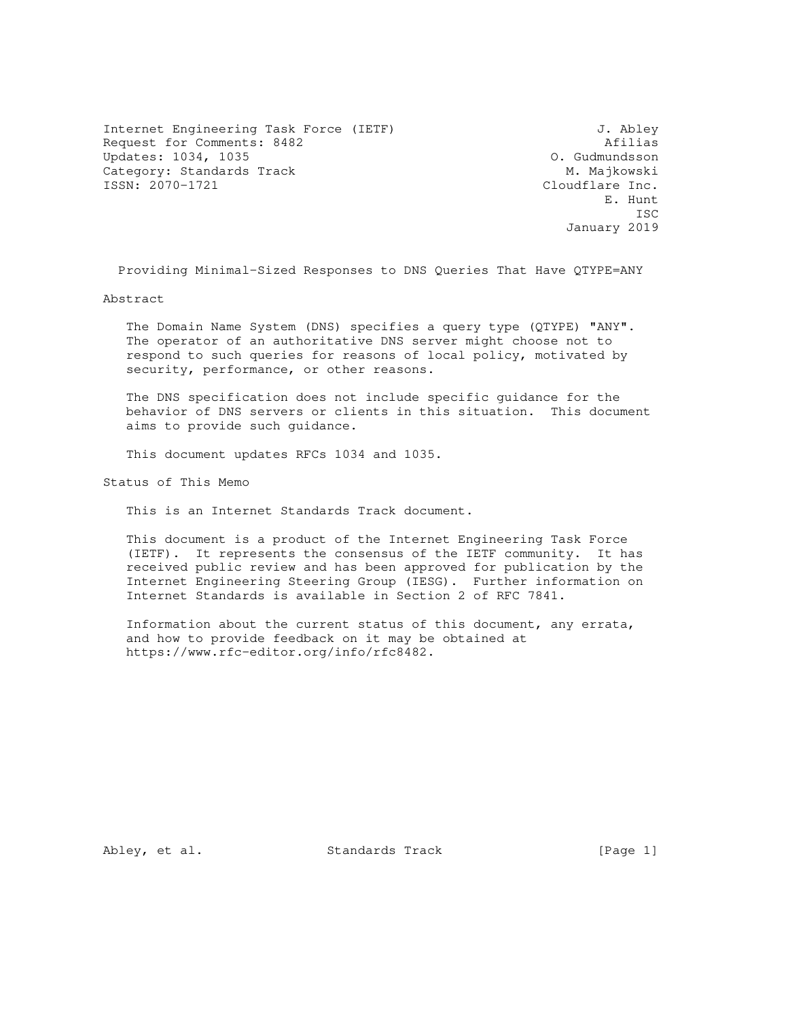Internet Engineering Task Force (IETF) 3. Abley Request for Comments: 8482 <br>
Updates: 1034, 1035 <br>
O. Gudmundsson Updates: 1034, 1035 Category: Standards Track M. Majkowski M. Majkowski M. Majkowski M. Majkowski M. Majkowski M. Majkowski M. Majkowski M. Majkowski M. Majkowski M. Majkowski M. Majkowski M. Majkowski M. Majkowski M. Majkowski M. Majkowski M

Cloudflare Inc. E. Hunt **ISC** ISC 2003 **ISC** January 2019

Providing Minimal-Sized Responses to DNS Queries That Have QTYPE=ANY

Abstract

 The Domain Name System (DNS) specifies a query type (QTYPE) "ANY". The operator of an authoritative DNS server might choose not to respond to such queries for reasons of local policy, motivated by security, performance, or other reasons.

 The DNS specification does not include specific guidance for the behavior of DNS servers or clients in this situation. This document aims to provide such guidance.

This document updates RFCs 1034 and 1035.

Status of This Memo

This is an Internet Standards Track document.

 This document is a product of the Internet Engineering Task Force (IETF). It represents the consensus of the IETF community. It has received public review and has been approved for publication by the Internet Engineering Steering Group (IESG). Further information on Internet Standards is available in Section 2 of RFC 7841.

 Information about the current status of this document, any errata, and how to provide feedback on it may be obtained at https://www.rfc-editor.org/info/rfc8482.

Abley, et al. Standards Track [Page 1]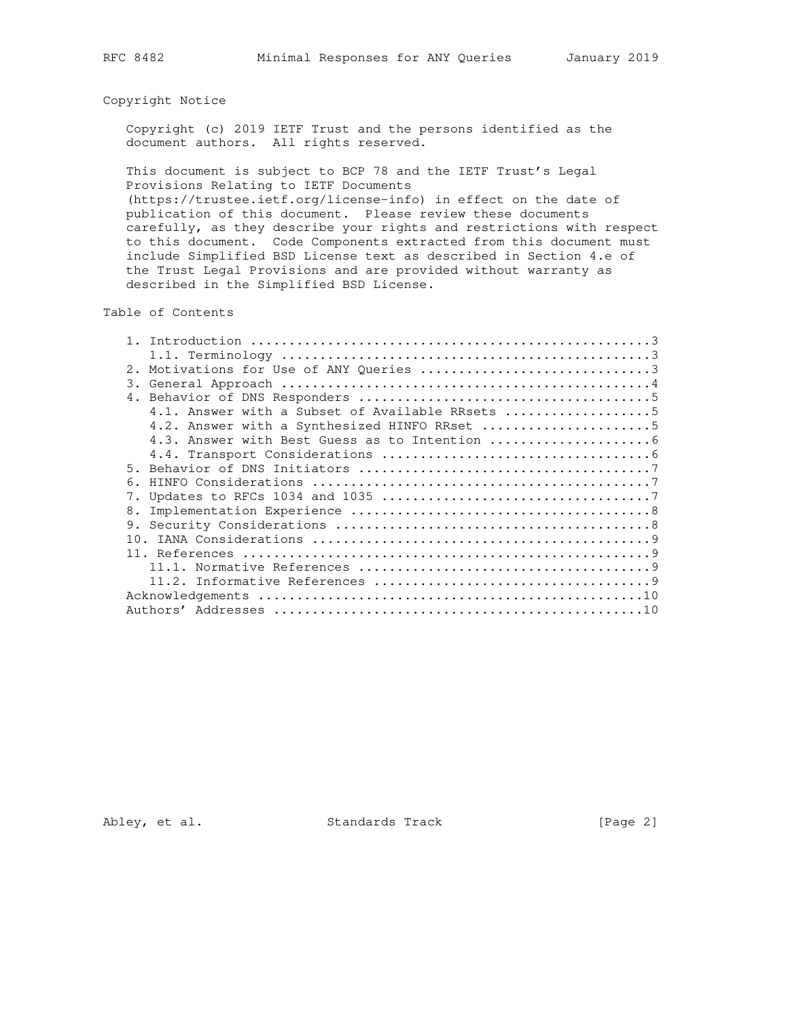# Copyright Notice

 Copyright (c) 2019 IETF Trust and the persons identified as the document authors. All rights reserved.

 This document is subject to BCP 78 and the IETF Trust's Legal Provisions Relating to IETF Documents

 (https://trustee.ietf.org/license-info) in effect on the date of publication of this document. Please review these documents carefully, as they describe your rights and restrictions with respect to this document. Code Components extracted from this document must include Simplified BSD License text as described in Section 4.e of the Trust Legal Provisions and are provided without warranty as described in the Simplified BSD License.

Table of Contents

| 2. Motivations for Use of ANY Queries 3         |
|-------------------------------------------------|
| 3.                                              |
|                                                 |
| 4.1. Answer with a Subset of Available RRsets 5 |
| 4.2. Answer with a Synthesized HINFO RRset 5    |
|                                                 |
|                                                 |
| 5.                                              |
| 6.                                              |
|                                                 |
| 8.                                              |
| 9.                                              |
| 10.                                             |
|                                                 |
|                                                 |
|                                                 |
|                                                 |
|                                                 |
|                                                 |

Abley, et al. Standards Track [Page 2]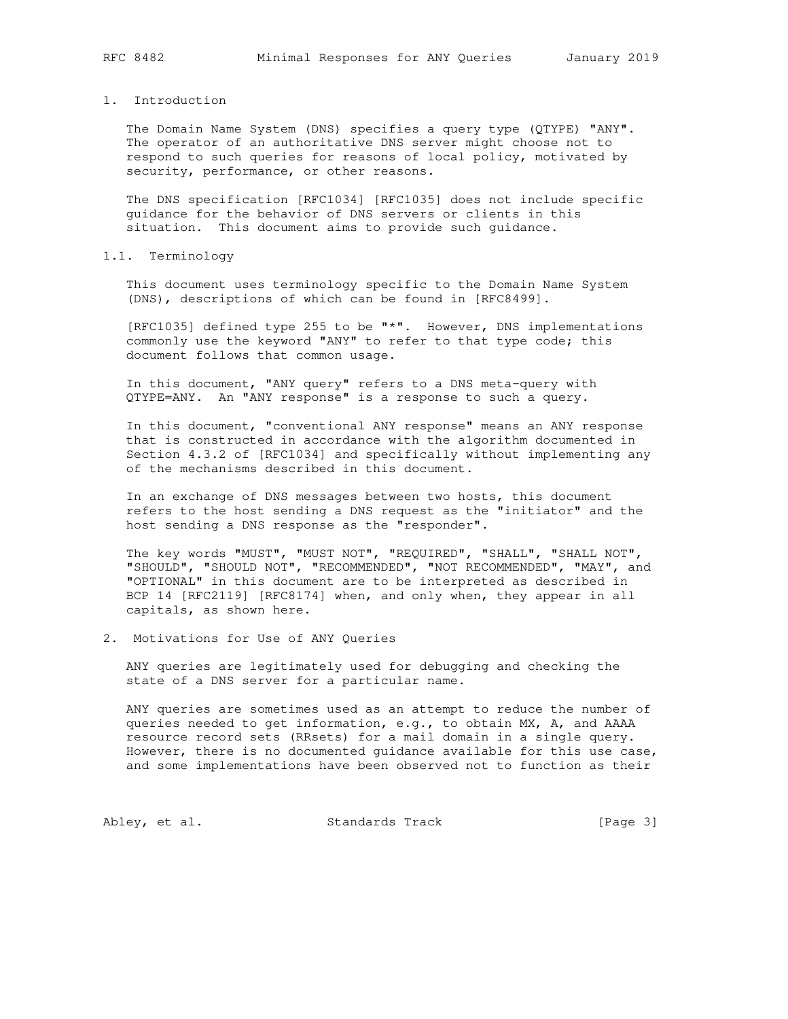## 1. Introduction

 The Domain Name System (DNS) specifies a query type (QTYPE) "ANY". The operator of an authoritative DNS server might choose not to respond to such queries for reasons of local policy, motivated by security, performance, or other reasons.

 The DNS specification [RFC1034] [RFC1035] does not include specific guidance for the behavior of DNS servers or clients in this situation. This document aims to provide such guidance.

## 1.1. Terminology

 This document uses terminology specific to the Domain Name System (DNS), descriptions of which can be found in [RFC8499].

 [RFC1035] defined type 255 to be "\*". However, DNS implementations commonly use the keyword "ANY" to refer to that type code; this document follows that common usage.

 In this document, "ANY query" refers to a DNS meta-query with QTYPE=ANY. An "ANY response" is a response to such a query.

 In this document, "conventional ANY response" means an ANY response that is constructed in accordance with the algorithm documented in Section 4.3.2 of [RFC1034] and specifically without implementing any of the mechanisms described in this document.

 In an exchange of DNS messages between two hosts, this document refers to the host sending a DNS request as the "initiator" and the host sending a DNS response as the "responder".

 The key words "MUST", "MUST NOT", "REQUIRED", "SHALL", "SHALL NOT", "SHOULD", "SHOULD NOT", "RECOMMENDED", "NOT RECOMMENDED", "MAY", and "OPTIONAL" in this document are to be interpreted as described in BCP 14 [RFC2119] [RFC8174] when, and only when, they appear in all capitals, as shown here.

2. Motivations for Use of ANY Queries

 ANY queries are legitimately used for debugging and checking the state of a DNS server for a particular name.

 ANY queries are sometimes used as an attempt to reduce the number of queries needed to get information, e.g., to obtain MX, A, and AAAA resource record sets (RRsets) for a mail domain in a single query. However, there is no documented guidance available for this use case, and some implementations have been observed not to function as their

Abley, et al. Standards Track [Page 3]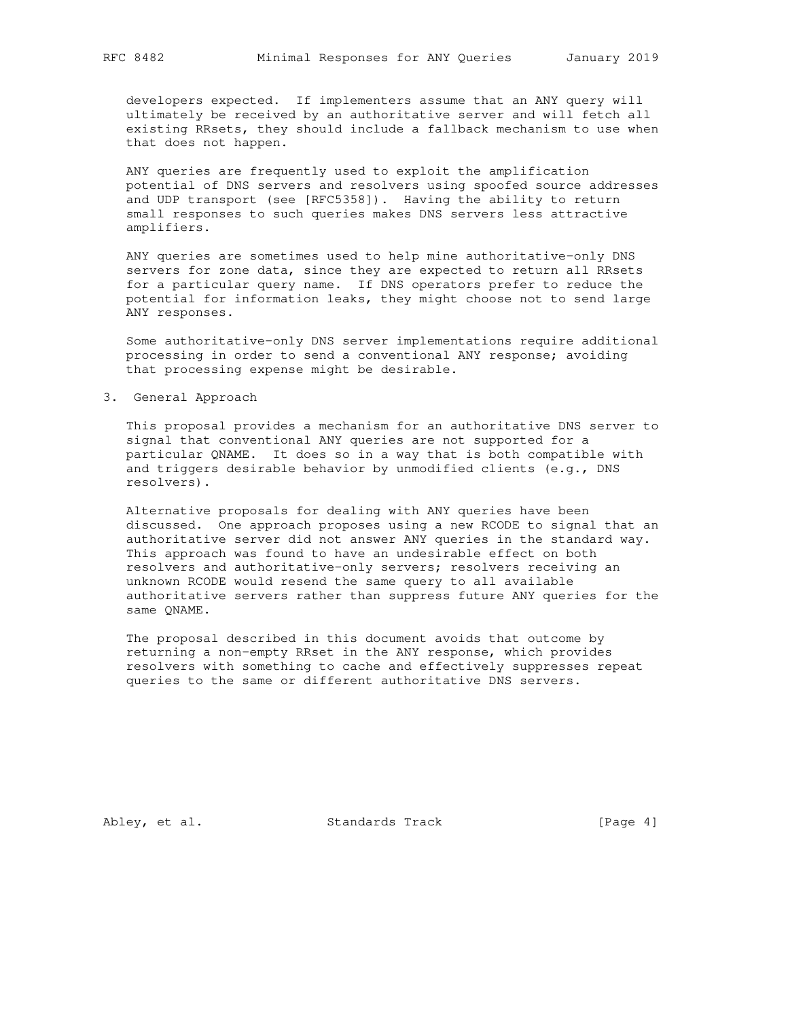developers expected. If implementers assume that an ANY query will ultimately be received by an authoritative server and will fetch all existing RRsets, they should include a fallback mechanism to use when that does not happen.

 ANY queries are frequently used to exploit the amplification potential of DNS servers and resolvers using spoofed source addresses and UDP transport (see [RFC5358]). Having the ability to return small responses to such queries makes DNS servers less attractive amplifiers.

 ANY queries are sometimes used to help mine authoritative-only DNS servers for zone data, since they are expected to return all RRsets for a particular query name. If DNS operators prefer to reduce the potential for information leaks, they might choose not to send large ANY responses.

 Some authoritative-only DNS server implementations require additional processing in order to send a conventional ANY response; avoiding that processing expense might be desirable.

3. General Approach

 This proposal provides a mechanism for an authoritative DNS server to signal that conventional ANY queries are not supported for a particular QNAME. It does so in a way that is both compatible with and triggers desirable behavior by unmodified clients (e.g., DNS resolvers).

 Alternative proposals for dealing with ANY queries have been discussed. One approach proposes using a new RCODE to signal that an authoritative server did not answer ANY queries in the standard way. This approach was found to have an undesirable effect on both resolvers and authoritative-only servers; resolvers receiving an unknown RCODE would resend the same query to all available authoritative servers rather than suppress future ANY queries for the same QNAME.

 The proposal described in this document avoids that outcome by returning a non-empty RRset in the ANY response, which provides resolvers with something to cache and effectively suppresses repeat queries to the same or different authoritative DNS servers.

Abley, et al. Standards Track [Page 4]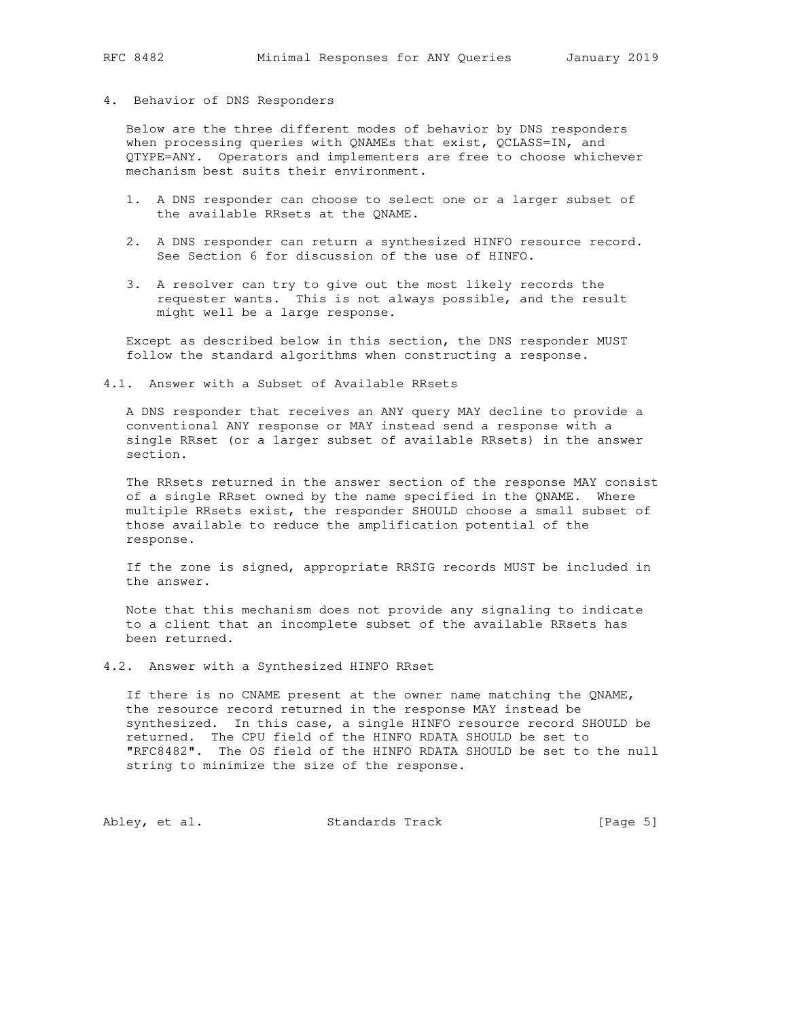## 4. Behavior of DNS Responders

 Below are the three different modes of behavior by DNS responders when processing queries with QNAMEs that exist, QCLASS=IN, and QTYPE=ANY. Operators and implementers are free to choose whichever mechanism best suits their environment.

- 1. A DNS responder can choose to select one or a larger subset of the available RRsets at the QNAME.
- 2. A DNS responder can return a synthesized HINFO resource record. See Section 6 for discussion of the use of HINFO.
- 3. A resolver can try to give out the most likely records the requester wants. This is not always possible, and the result might well be a large response.

 Except as described below in this section, the DNS responder MUST follow the standard algorithms when constructing a response.

4.1. Answer with a Subset of Available RRsets

 A DNS responder that receives an ANY query MAY decline to provide a conventional ANY response or MAY instead send a response with a single RRset (or a larger subset of available RRsets) in the answer section.

 The RRsets returned in the answer section of the response MAY consist of a single RRset owned by the name specified in the QNAME. Where multiple RRsets exist, the responder SHOULD choose a small subset of those available to reduce the amplification potential of the response.

 If the zone is signed, appropriate RRSIG records MUST be included in the answer.

 Note that this mechanism does not provide any signaling to indicate to a client that an incomplete subset of the available RRsets has been returned.

4.2. Answer with a Synthesized HINFO RRset

 If there is no CNAME present at the owner name matching the QNAME, the resource record returned in the response MAY instead be synthesized. In this case, a single HINFO resource record SHOULD be returned. The CPU field of the HINFO RDATA SHOULD be set to "RFC8482". The OS field of the HINFO RDATA SHOULD be set to the null string to minimize the size of the response.

Abley, et al. Standards Track [Page 5]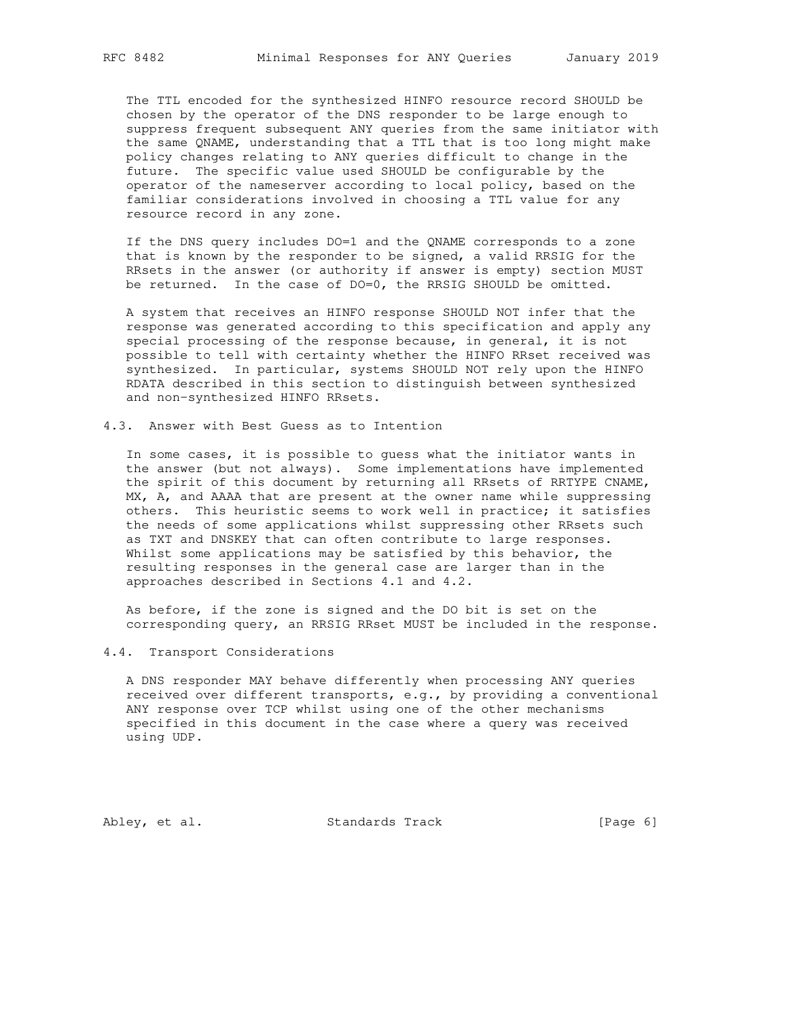The TTL encoded for the synthesized HINFO resource record SHOULD be chosen by the operator of the DNS responder to be large enough to suppress frequent subsequent ANY queries from the same initiator with the same QNAME, understanding that a TTL that is too long might make policy changes relating to ANY queries difficult to change in the future. The specific value used SHOULD be configurable by the operator of the nameserver according to local policy, based on the familiar considerations involved in choosing a TTL value for any resource record in any zone.

 If the DNS query includes DO=1 and the QNAME corresponds to a zone that is known by the responder to be signed, a valid RRSIG for the RRsets in the answer (or authority if answer is empty) section MUST be returned. In the case of DO=0, the RRSIG SHOULD be omitted.

 A system that receives an HINFO response SHOULD NOT infer that the response was generated according to this specification and apply any special processing of the response because, in general, it is not possible to tell with certainty whether the HINFO RRset received was synthesized. In particular, systems SHOULD NOT rely upon the HINFO RDATA described in this section to distinguish between synthesized and non-synthesized HINFO RRsets.

4.3. Answer with Best Guess as to Intention

 In some cases, it is possible to guess what the initiator wants in the answer (but not always). Some implementations have implemented the spirit of this document by returning all RRsets of RRTYPE CNAME, MX, A, and AAAA that are present at the owner name while suppressing others. This heuristic seems to work well in practice; it satisfies the needs of some applications whilst suppressing other RRsets such as TXT and DNSKEY that can often contribute to large responses. Whilst some applications may be satisfied by this behavior, the resulting responses in the general case are larger than in the approaches described in Sections 4.1 and 4.2.

 As before, if the zone is signed and the DO bit is set on the corresponding query, an RRSIG RRset MUST be included in the response.

### 4.4. Transport Considerations

 A DNS responder MAY behave differently when processing ANY queries received over different transports, e.g., by providing a conventional ANY response over TCP whilst using one of the other mechanisms specified in this document in the case where a query was received using UDP.

Abley, et al. Standards Track [Page 6]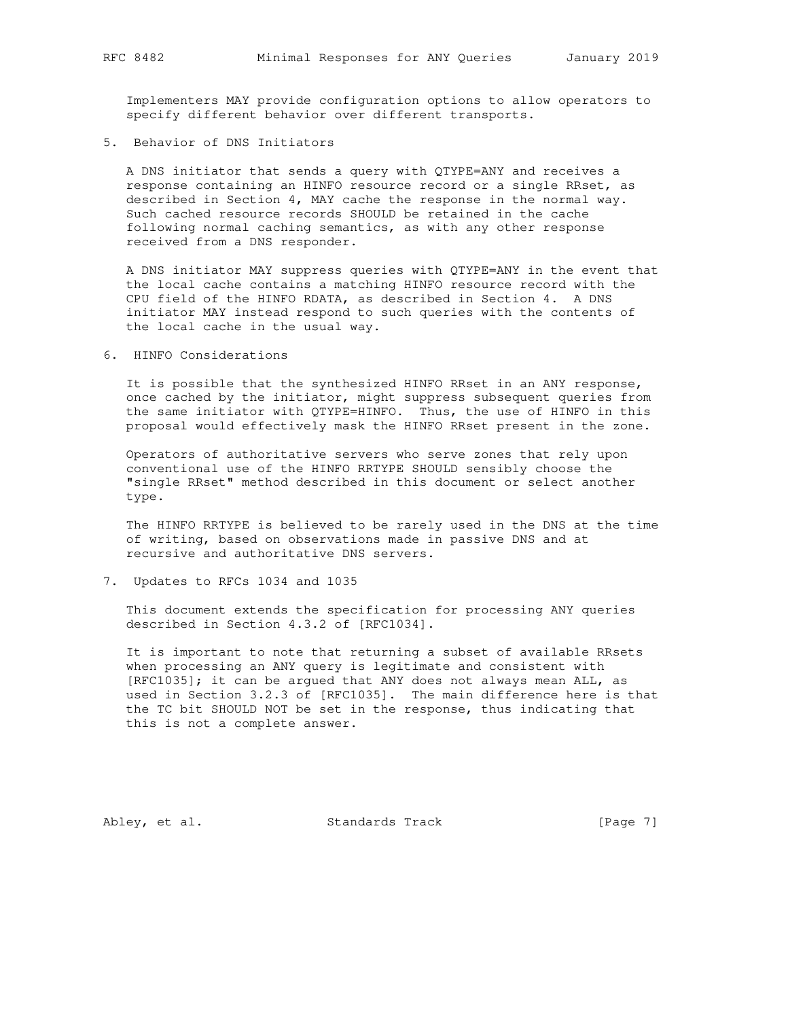Implementers MAY provide configuration options to allow operators to specify different behavior over different transports.

5. Behavior of DNS Initiators

 A DNS initiator that sends a query with QTYPE=ANY and receives a response containing an HINFO resource record or a single RRset, as described in Section 4, MAY cache the response in the normal way. Such cached resource records SHOULD be retained in the cache following normal caching semantics, as with any other response received from a DNS responder.

 A DNS initiator MAY suppress queries with QTYPE=ANY in the event that the local cache contains a matching HINFO resource record with the CPU field of the HINFO RDATA, as described in Section 4. A DNS initiator MAY instead respond to such queries with the contents of the local cache in the usual way.

6. HINFO Considerations

 It is possible that the synthesized HINFO RRset in an ANY response, once cached by the initiator, might suppress subsequent queries from the same initiator with QTYPE=HINFO. Thus, the use of HINFO in this proposal would effectively mask the HINFO RRset present in the zone.

 Operators of authoritative servers who serve zones that rely upon conventional use of the HINFO RRTYPE SHOULD sensibly choose the "single RRset" method described in this document or select another type.

 The HINFO RRTYPE is believed to be rarely used in the DNS at the time of writing, based on observations made in passive DNS and at recursive and authoritative DNS servers.

7. Updates to RFCs 1034 and 1035

 This document extends the specification for processing ANY queries described in Section 4.3.2 of [RFC1034].

 It is important to note that returning a subset of available RRsets when processing an ANY query is legitimate and consistent with [RFC1035]; it can be argued that ANY does not always mean ALL, as used in Section 3.2.3 of [RFC1035]. The main difference here is that the TC bit SHOULD NOT be set in the response, thus indicating that this is not a complete answer.

Abley, et al. Standards Track [Page 7]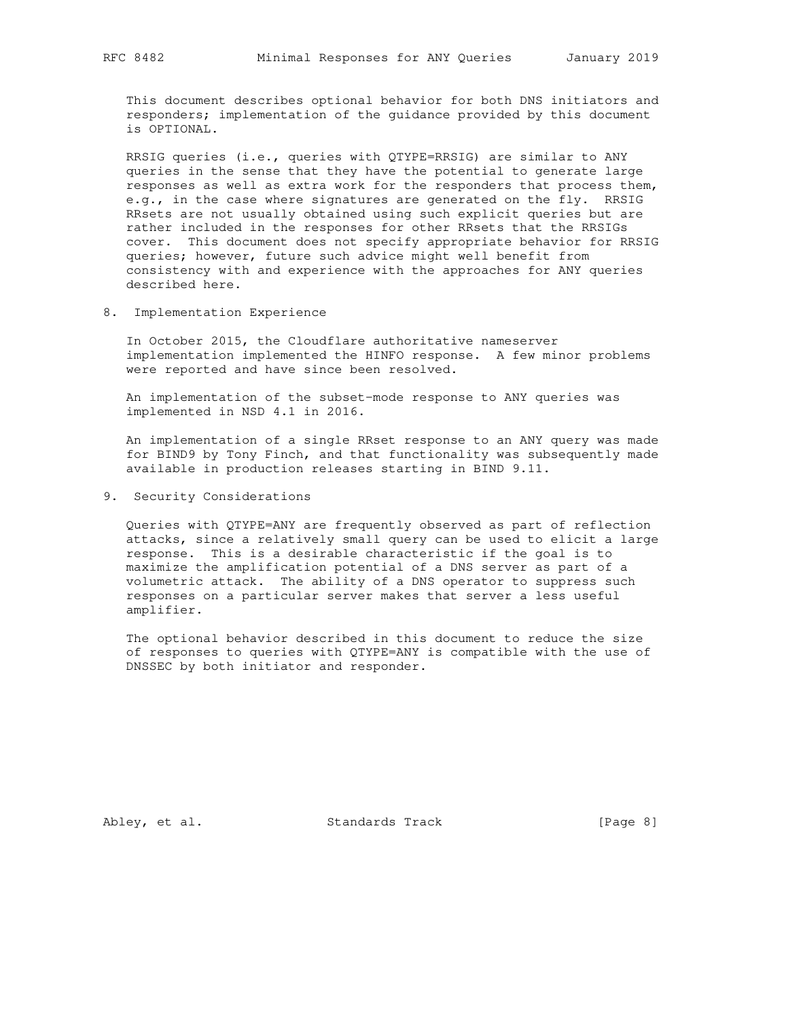This document describes optional behavior for both DNS initiators and responders; implementation of the guidance provided by this document is OPTIONAL.

 RRSIG queries (i.e., queries with QTYPE=RRSIG) are similar to ANY queries in the sense that they have the potential to generate large responses as well as extra work for the responders that process them, e.g., in the case where signatures are generated on the fly. RRSIG RRsets are not usually obtained using such explicit queries but are rather included in the responses for other RRsets that the RRSIGs cover. This document does not specify appropriate behavior for RRSIG queries; however, future such advice might well benefit from consistency with and experience with the approaches for ANY queries described here.

8. Implementation Experience

 In October 2015, the Cloudflare authoritative nameserver implementation implemented the HINFO response. A few minor problems were reported and have since been resolved.

 An implementation of the subset-mode response to ANY queries was implemented in NSD 4.1 in 2016.

 An implementation of a single RRset response to an ANY query was made for BIND9 by Tony Finch, and that functionality was subsequently made available in production releases starting in BIND 9.11.

9. Security Considerations

 Queries with QTYPE=ANY are frequently observed as part of reflection attacks, since a relatively small query can be used to elicit a large response. This is a desirable characteristic if the goal is to maximize the amplification potential of a DNS server as part of a volumetric attack. The ability of a DNS operator to suppress such responses on a particular server makes that server a less useful amplifier.

 The optional behavior described in this document to reduce the size of responses to queries with QTYPE=ANY is compatible with the use of DNSSEC by both initiator and responder.

Abley, et al. Standards Track [Page 8]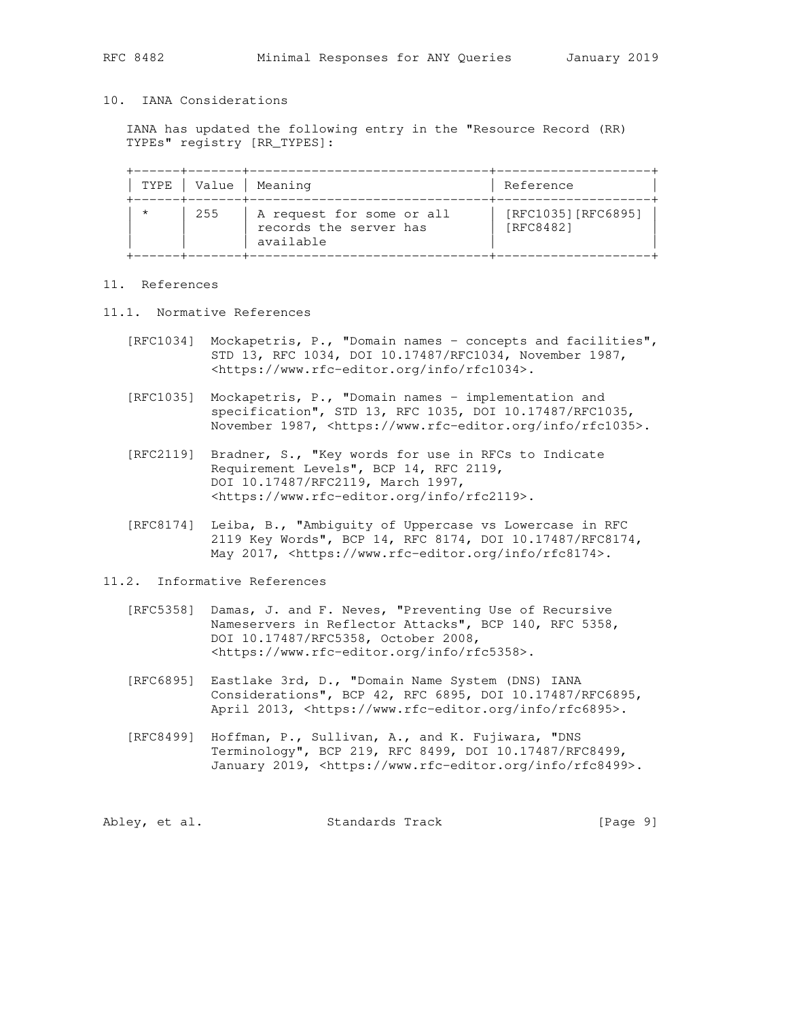## 10. IANA Considerations

 IANA has updated the following entry in the "Resource Record (RR) TYPEs" registry [RR\_TYPES]:

|         | TYPE   Value | Meaning                                                          | Reference                        |
|---------|--------------|------------------------------------------------------------------|----------------------------------|
| $\star$ | 255          | A request for some or all<br>records the server has<br>available | [RFC1035] [RFC6895]<br>[RFC8482] |

## 11. References

- 11.1. Normative References
	- [RFC1034] Mockapetris, P., "Domain names concepts and facilities", STD 13, RFC 1034, DOI 10.17487/RFC1034, November 1987, <https://www.rfc-editor.org/info/rfc1034>.
	- [RFC1035] Mockapetris, P., "Domain names implementation and specification", STD 13, RFC 1035, DOI 10.17487/RFC1035, November 1987, <https://www.rfc-editor.org/info/rfc1035>.
	- [RFC2119] Bradner, S., "Key words for use in RFCs to Indicate Requirement Levels", BCP 14, RFC 2119, DOI 10.17487/RFC2119, March 1997, <https://www.rfc-editor.org/info/rfc2119>.
	- [RFC8174] Leiba, B., "Ambiguity of Uppercase vs Lowercase in RFC 2119 Key Words", BCP 14, RFC 8174, DOI 10.17487/RFC8174, May 2017, <https://www.rfc-editor.org/info/rfc8174>.

#### 11.2. Informative References

- [RFC5358] Damas, J. and F. Neves, "Preventing Use of Recursive Nameservers in Reflector Attacks", BCP 140, RFC 5358, DOI 10.17487/RFC5358, October 2008, <https://www.rfc-editor.org/info/rfc5358>.
- [RFC6895] Eastlake 3rd, D., "Domain Name System (DNS) IANA Considerations", BCP 42, RFC 6895, DOI 10.17487/RFC6895, April 2013, <https://www.rfc-editor.org/info/rfc6895>.
- [RFC8499] Hoffman, P., Sullivan, A., and K. Fujiwara, "DNS Terminology", BCP 219, RFC 8499, DOI 10.17487/RFC8499, January 2019, <https://www.rfc-editor.org/info/rfc8499>.

|  | Abley, et al. | Standards Track | [Page 9] |
|--|---------------|-----------------|----------|
|--|---------------|-----------------|----------|